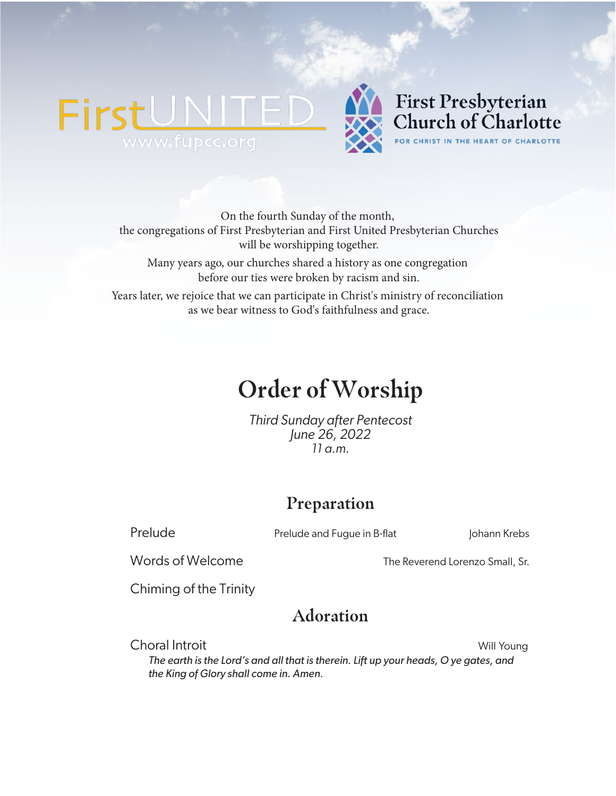



## **First Presbyterian** Church of Charlotte FOR CHRIST IN THE HEART OF CHARLOTTE

On the fourth Sunday of the month, the congregations of First Presbyterian and First United Presbyterian Churches will be worshipping together.

Many years ago, our churches shared a history as one congregation before our ties were broken by racism and sin.

Years later, we rejoice that we can participate in Christ's ministry of reconciliation as we bear witness to God's faithfulness and grace.

# **Order of Worship**

*Third Sunday after Pentecost June 26, 2022 11 a.m.*

# **Preparation**

Prelude **Prelude and Fugue in B-flat** Prelude and Fugue in B-flat

Words of Welcome The Reverend Lorenzo Small, Sr.

Chiming of the Trinity

# **Adoration**

Choral Introit Will Young *The earth is the Lord's and all that is therein. Lift up your heads, O ye gates, and the King of Glory shall come in. Amen.*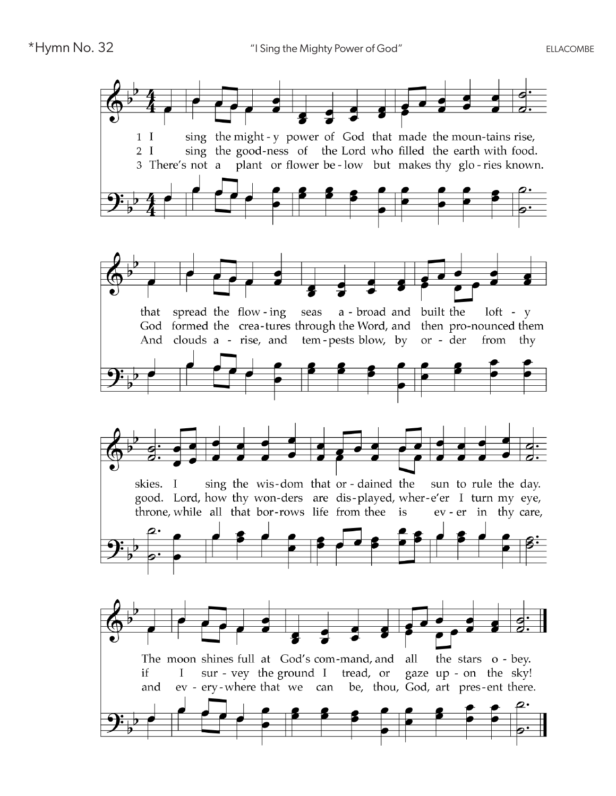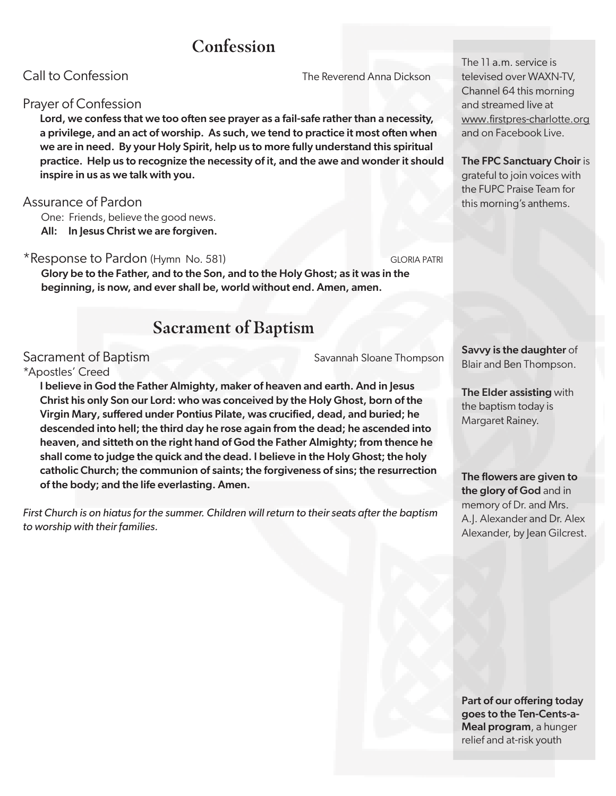## **Confession**

#### Call to Confession The Reverend Anna Dickson

#### Prayer of Confession

Lord, we confess that we too often see prayer as a fail-safe rather than a necessity, a privilege, and an act of worship. As such, we tend to practice it most often when we are in need. By your Holy Spirit, help us to more fully understand this spiritual practice. Help us to recognize the necessity of it, and the awe and wonder it should inspire in us as we talk with you.

#### Assurance of Pardon

One: Friends, believe the good news.

All: In Jesus Christ we are forgiven.

#### \*Response to Pardon (Hymn No. 581) GLORIA PATRI

Glory be to the Father, and to the Son, and to the Holy Ghost; as it was in the beginning, is now, and ever shall be, world without end. Amen, amen.

# **Sacrament of Baptism**

Sacrament of Baptism Savannah Sloane Thompson \*Apostles' Creed

I believe in God the Father Almighty, maker of heaven and earth. And in Jesus Christ his only Son our Lord: who was conceived by the Holy Ghost, born of the Virgin Mary, suffered under Pontius Pilate, was crucified, dead, and buried; he descended into hell; the third day he rose again from the dead; he ascended into heaven, and sitteth on the right hand of God the Father Almighty; from thence he shall come to judge the quick and the dead. I believe in the Holy Ghost; the holy catholic Church; the communion of saints; the forgiveness of sins; the resurrection of the body; and the life everlasting. Amen.

*First Church is on hiatus for the summer. Children will return to their seats after the baptism to worship with their families.*

The 11 a.m. service is televised over WAXN-TV, Channel 64 this morning and streamed live at www.firstpres-charlotte.org and on Facebook Live.

The FPC Sanctuary Choir is grateful to join voices with the FUPC Praise Team for this morning's anthems.

Savvy is the daughter of Blair and Ben Thompson.

The Elder assisting with the baptism today is Margaret Rainey.

The flowers are given to the glory of God and in memory of Dr. and Mrs. A.J. Alexander and Dr. Alex Alexander, by Jean Gilcrest.

Part of our offering today goes to the Ten-Cents-a-Meal program, a hunger relief and at-risk youth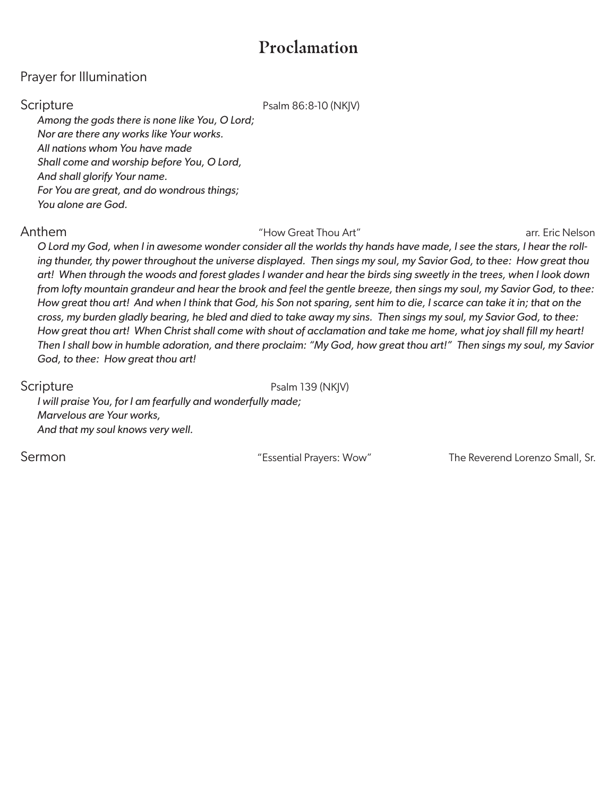# **Proclamation**

### Prayer for Illumination

Scripture Psalm 86:8-10 (NKJV)

*Among the gods there is none like You, O Lord; Nor are there any works like Your works. All nations whom You have made Shall come and worship before You, O Lord, And shall glorify Your name. For You are great, and do wondrous things; You alone are God.*

Anthem Thow Great Thou Art" arr. Eric Nelson arr. Eric Nelson

*O Lord my God, when I in awesome wonder consider all the worlds thy hands have made, I see the stars, I hear the rolling thunder, thy power throughout the universe displayed. Then sings my soul, my Savior God, to thee: How great thou art! When through the woods and forest glades I wander and hear the birds sing sweetly in the trees, when I look down from lofty mountain grandeur and hear the brook and feel the gentle breeze, then sings my soul, my Savior God, to thee: How great thou art! And when I think that God, his Son not sparing, sent him to die, I scarce can take it in; that on the cross, my burden gladly bearing, he bled and died to take away my sins. Then sings my soul, my Savior God, to thee: How great thou art! When Christ shall come with shout of acclamation and take me home, what joy shall fill my heart! Then I shall bow in humble adoration, and there proclaim: "My God, how great thou art!" Then sings my soul, my Savior God, to thee: How great thou art!* 

Scripture Psalm 139 (NKJV)

*I will praise You, for I am fearfully and wonderfully made; Marvelous are Your works, And that my soul knows very well.*

Sermon **Example 20** and the series of the Sermon The Reverend Lorenzo Small, Sr.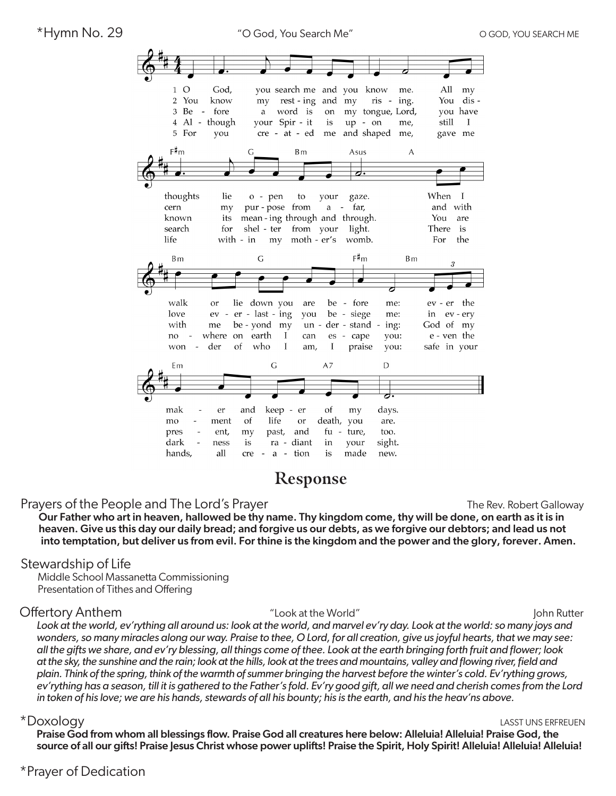

### **Response**

#### Prayers of the People and The Lord's Prayer The Rev. Robert Galloway The Rev. Robert Galloway

Our Father who art in heaven, hallowed be thy name. Thy kingdom come, thy will be done, on earth as it is in heaven. Give us this day our daily bread; and forgive us our debts, as we forgive our debtors; and lead us not into temptation, but deliver us from evil. For thine is the kingdom and the power and the glory, forever. Amen.

Stewardship of Life Middle School Massanetta Commissioning Presentation of Tithes and Offering

#### Offertory Anthem "Look at the World" John Rutter

*Look at the world, ev'rything all around us: look at the world, and marvel ev'ry day. Look at the world: so many joys and wonders, so many miracles along our way. Praise to thee, O Lord, for all creation, give us joyful hearts, that we may see: all the gifts we share, and ev'ry blessing, all things come of thee. Look at the earth bringing forth fruit and flower; look at the sky, the sunshine and the rain; look at the hills, look at the trees and mountains, valley and flowing river, field and plain. Think of the spring, think of the warmth of summer bringing the harvest before the winter's cold. Ev'rything grows, ev'rything has a season, till it is gathered to the Father's fold. Ev'ry good gift, all we need and cherish comes from the Lord in token of his love; we are his hands, stewards of all his bounty; his is the earth, and his the heav'ns above.*

\*Doxology LASST UNS ERFREUEN

Praise God from whom all blessings flow. Praise God all creatures here below: Alleluia! Alleluia! Praise God, the source of all our gifts! Praise Jesus Christ whose power uplifts! Praise the Spirit, Holy Spirit! Alleluia! Alleluia! Alleluia!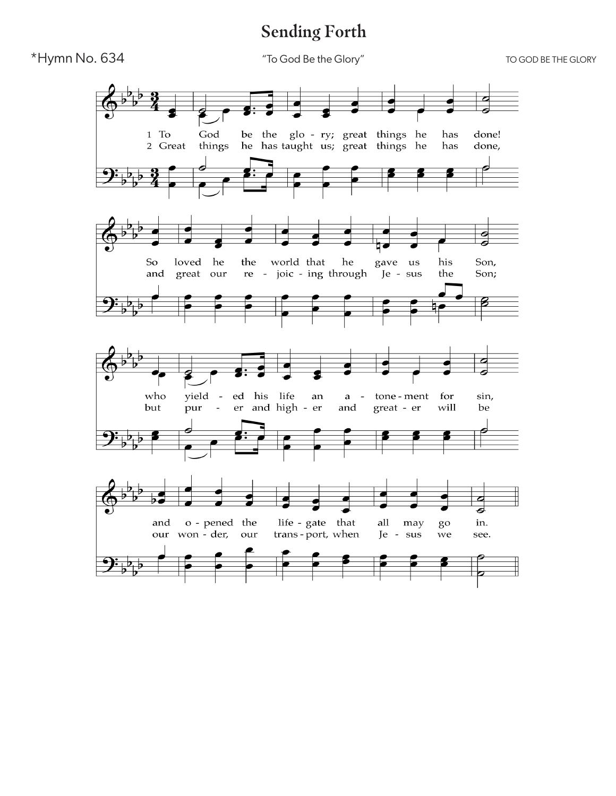# **Sending Forth**

\*Hymn No. 634 To God Be the Glory" The God Be the Glory TO GOD BE THE GLORY

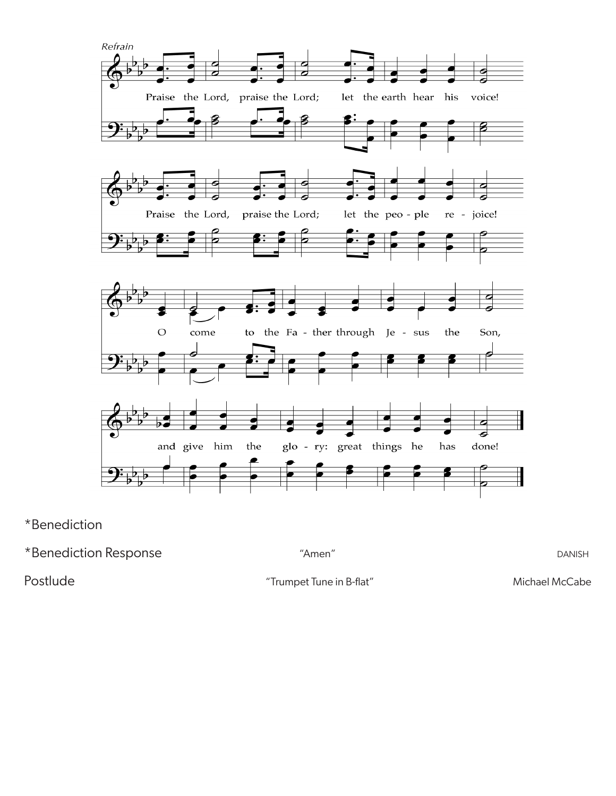

\*Benediction

\*Benediction Response The Communication of the Communication of the Communication of the Communication of the Communication of the Communication of the Communication of the Communication of the Communication of the Communi

Postlude Trumpet Tune in B-flat" Michael McCabe